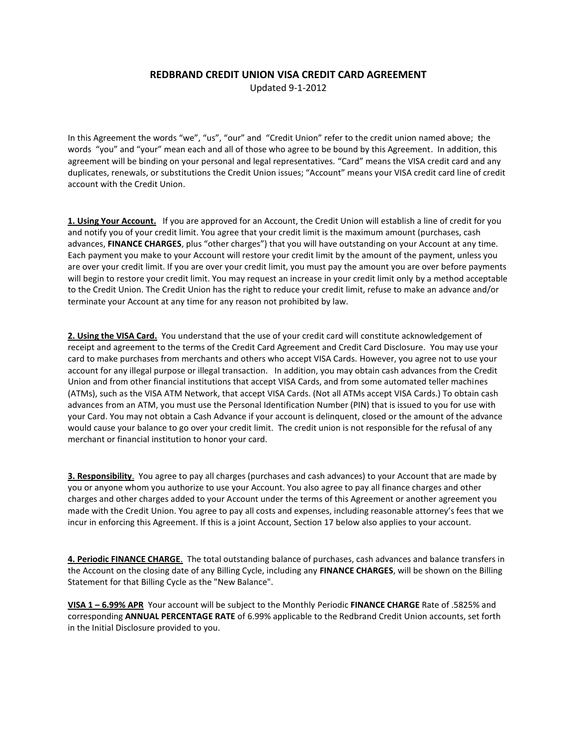## **REDBRAND CREDIT UNION VISA CREDIT CARD AGREEMENT**

Updated 9-1-2012

In this Agreement the words "we", "us", "our" and "Credit Union" refer to the credit union named above; the words "you" and "your" mean each and all of those who agree to be bound by this Agreement. In addition, this agreement will be binding on your personal and legal representatives. "Card" means the VISA credit card and any duplicates, renewals, or substitutions the Credit Union issues; "Account" means your VISA credit card line of credit account with the Credit Union.

**1. Using Your Account.** If you are approved for an Account, the Credit Union will establish a line of credit for you and notify you of your credit limit. You agree that your credit limit is the maximum amount (purchases, cash advances, **FINANCE CHARGES**, plus "other charges") that you will have outstanding on your Account at any time. Each payment you make to your Account will restore your credit limit by the amount of the payment, unless you are over your credit limit. If you are over your credit limit, you must pay the amount you are over before payments will begin to restore your credit limit. You may request an increase in your credit limit only by a method acceptable to the Credit Union. The Credit Union has the right to reduce your credit limit, refuse to make an advance and/or terminate your Account at any time for any reason not prohibited by law.

**2. Using the VISA Card.** You understand that the use of your credit card will constitute acknowledgement of receipt and agreement to the terms of the Credit Card Agreement and Credit Card Disclosure. You may use your card to make purchases from merchants and others who accept VISA Cards. However, you agree not to use your account for any illegal purpose or illegal transaction. In addition, you may obtain cash advances from the Credit Union and from other financial institutions that accept VISA Cards, and from some automated teller machines (ATMs), such as the VISA ATM Network, that accept VISA Cards. (Not all ATMs accept VISA Cards.) To obtain cash advances from an ATM, you must use the Personal Identification Number (PIN) that is issued to you for use with your Card. You may not obtain a Cash Advance if your account is delinquent, closed or the amount of the advance would cause your balance to go over your credit limit. The credit union is not responsible for the refusal of any merchant or financial institution to honor your card.

**3. Responsibility**. You agree to pay all charges (purchases and cash advances) to your Account that are made by you or anyone whom you authorize to use your Account. You also agree to pay all finance charges and other charges and other charges added to your Account under the terms of this Agreement or another agreement you made with the Credit Union. You agree to pay all costs and expenses, including reasonable attorney's fees that we incur in enforcing this Agreement. If this is a joint Account, Section 17 below also applies to your account.

**4. Periodic FINANCE CHARGE**. The total outstanding balance of purchases, cash advances and balance transfers in the Account on the closing date of any Billing Cycle, including any **FINANCE CHARGES**, will be shown on the Billing Statement for that Billing Cycle as the "New Balance".

**VISA 1 – 6.99% APR** Your account will be subject to the Monthly Periodic **FINANCE CHARGE** Rate of .5825% and corresponding **ANNUAL PERCENTAGE RATE** of 6.99% applicable to the Redbrand Credit Union accounts, set forth in the Initial Disclosure provided to you.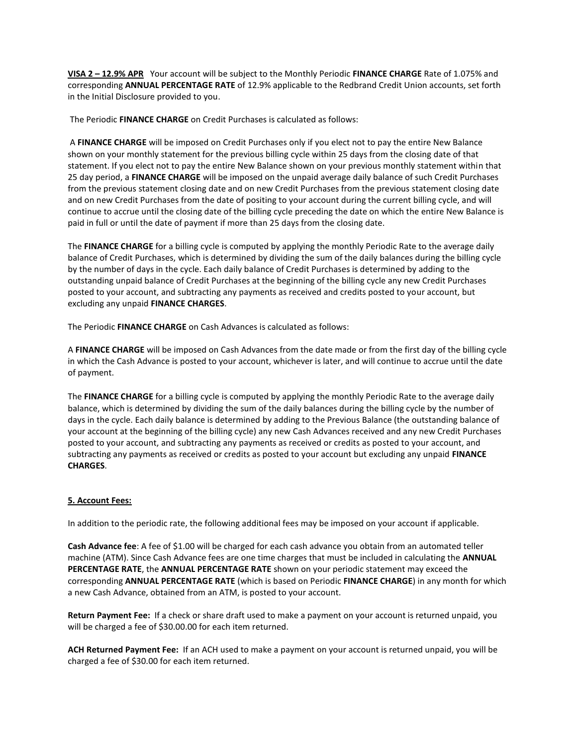**VISA 2 – 12.9% APR** Your account will be subject to the Monthly Periodic **FINANCE CHARGE** Rate of 1.075% and corresponding **ANNUAL PERCENTAGE RATE** of 12.9% applicable to the Redbrand Credit Union accounts, set forth in the Initial Disclosure provided to you.

The Periodic **FINANCE CHARGE** on Credit Purchases is calculated as follows:

A **FINANCE CHARGE** will be imposed on Credit Purchases only if you elect not to pay the entire New Balance shown on your monthly statement for the previous billing cycle within 25 days from the closing date of that statement. If you elect not to pay the entire New Balance shown on your previous monthly statement within that 25 day period, a **FINANCE CHARGE** will be imposed on the unpaid average daily balance of such Credit Purchases from the previous statement closing date and on new Credit Purchases from the previous statement closing date and on new Credit Purchases from the date of positing to your account during the current billing cycle, and will continue to accrue until the closing date of the billing cycle preceding the date on which the entire New Balance is paid in full or until the date of payment if more than 25 days from the closing date.

The **FINANCE CHARGE** for a billing cycle is computed by applying the monthly Periodic Rate to the average daily balance of Credit Purchases, which is determined by dividing the sum of the daily balances during the billing cycle by the number of days in the cycle. Each daily balance of Credit Purchases is determined by adding to the outstanding unpaid balance of Credit Purchases at the beginning of the billing cycle any new Credit Purchases posted to your account, and subtracting any payments as received and credits posted to your account, but excluding any unpaid **FINANCE CHARGES**.

The Periodic **FINANCE CHARGE** on Cash Advances is calculated as follows:

A **FINANCE CHARGE** will be imposed on Cash Advances from the date made or from the first day of the billing cycle in which the Cash Advance is posted to your account, whichever is later, and will continue to accrue until the date of payment.

The **FINANCE CHARGE** for a billing cycle is computed by applying the monthly Periodic Rate to the average daily balance, which is determined by dividing the sum of the daily balances during the billing cycle by the number of days in the cycle. Each daily balance is determined by adding to the Previous Balance (the outstanding balance of your account at the beginning of the billing cycle) any new Cash Advances received and any new Credit Purchases posted to your account, and subtracting any payments as received or credits as posted to your account, and subtracting any payments as received or credits as posted to your account but excluding any unpaid **FINANCE CHARGES**.

## **5. Account Fees:**

In addition to the periodic rate, the following additional fees may be imposed on your account if applicable.

**Cash Advance fee**: A fee of \$1.00 will be charged for each cash advance you obtain from an automated teller machine (ATM). Since Cash Advance fees are one time charges that must be included in calculating the **ANNUAL PERCENTAGE RATE**, the **ANNUAL PERCENTAGE RATE** shown on your periodic statement may exceed the corresponding **ANNUAL PERCENTAGE RATE** (which is based on Periodic **FINANCE CHARGE**) in any month for which a new Cash Advance, obtained from an ATM, is posted to your account.

**Return Payment Fee:** If a check or share draft used to make a payment on your account is returned unpaid, you will be charged a fee of \$30.00.00 for each item returned.

**ACH Returned Payment Fee:** If an ACH used to make a payment on your account is returned unpaid, you will be charged a fee of \$30.00 for each item returned.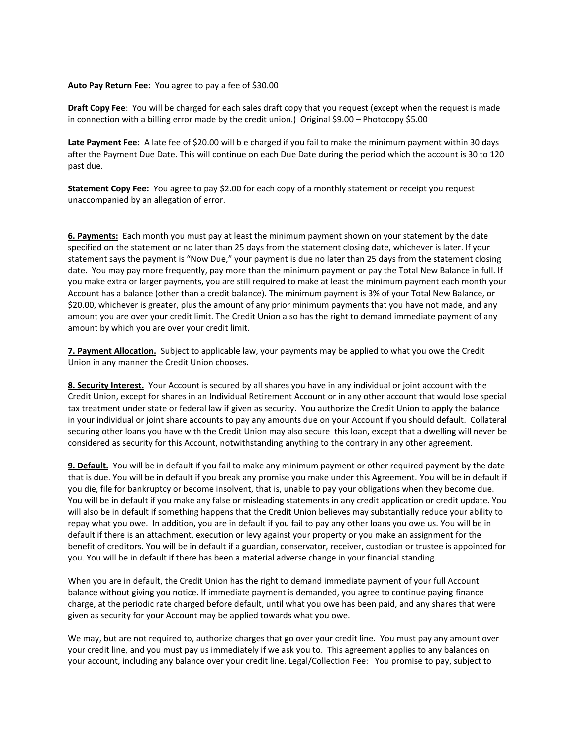#### **Auto Pay Return Fee:** You agree to pay a fee of \$30.00

**Draft Copy Fee**: You will be charged for each sales draft copy that you request (except when the request is made in connection with a billing error made by the credit union.) Original \$9.00 – Photocopy \$5.00

Late Payment Fee: A late fee of \$20.00 will b e charged if you fail to make the minimum payment within 30 days after the Payment Due Date. This will continue on each Due Date during the period which the account is 30 to 120 past due.

**Statement Copy Fee:** You agree to pay \$2.00 for each copy of a monthly statement or receipt you request unaccompanied by an allegation of error.

**6. Payments:** Each month you must pay at least the minimum payment shown on your statement by the date specified on the statement or no later than 25 days from the statement closing date, whichever is later. If your statement says the payment is "Now Due," your payment is due no later than 25 days from the statement closing date. You may pay more frequently, pay more than the minimum payment or pay the Total New Balance in full. If you make extra or larger payments, you are still required to make at least the minimum payment each month your Account has a balance (other than a credit balance). The minimum payment is 3% of your Total New Balance, or \$20.00, whichever is greater, plus the amount of any prior minimum payments that you have not made, and any amount you are over your credit limit. The Credit Union also has the right to demand immediate payment of any amount by which you are over your credit limit.

**7. Payment Allocation.** Subject to applicable law, your payments may be applied to what you owe the Credit Union in any manner the Credit Union chooses.

**8. Security Interest.** Your Account is secured by all shares you have in any individual or joint account with the Credit Union, except for shares in an Individual Retirement Account or in any other account that would lose special tax treatment under state or federal law if given as security. You authorize the Credit Union to apply the balance in your individual or joint share accounts to pay any amounts due on your Account if you should default. Collateral securing other loans you have with the Credit Union may also secure this loan, except that a dwelling will never be considered as security for this Account, notwithstanding anything to the contrary in any other agreement.

**9. Default.** You will be in default if you fail to make any minimum payment or other required payment by the date that is due. You will be in default if you break any promise you make under this Agreement. You will be in default if you die, file for bankruptcy or become insolvent, that is, unable to pay your obligations when they become due. You will be in default if you make any false or misleading statements in any credit application or credit update. You will also be in default if something happens that the Credit Union believes may substantially reduce your ability to repay what you owe. In addition, you are in default if you fail to pay any other loans you owe us. You will be in default if there is an attachment, execution or levy against your property or you make an assignment for the benefit of creditors. You will be in default if a guardian, conservator, receiver, custodian or trustee is appointed for you. You will be in default if there has been a material adverse change in your financial standing.

When you are in default, the Credit Union has the right to demand immediate payment of your full Account balance without giving you notice. If immediate payment is demanded, you agree to continue paying finance charge, at the periodic rate charged before default, until what you owe has been paid, and any shares that were given as security for your Account may be applied towards what you owe.

We may, but are not required to, authorize charges that go over your credit line. You must pay any amount over your credit line, and you must pay us immediately if we ask you to. This agreement applies to any balances on your account, including any balance over your credit line. Legal/Collection Fee: You promise to pay, subject to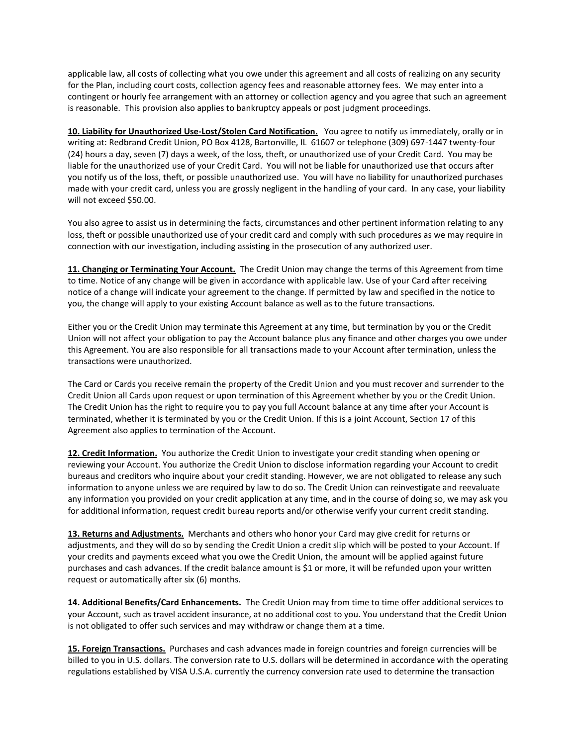applicable law, all costs of collecting what you owe under this agreement and all costs of realizing on any security for the Plan, including court costs, collection agency fees and reasonable attorney fees. We may enter into a contingent or hourly fee arrangement with an attorney or collection agency and you agree that such an agreement is reasonable. This provision also applies to bankruptcy appeals or post judgment proceedings.

**10. Liability for Unauthorized Use-Lost/Stolen Card Notification.** You agree to notify us immediately, orally or in writing at: Redbrand Credit Union, PO Box 4128, Bartonville, IL 61607 or telephone (309) 697-1447 twenty-four (24) hours a day, seven (7) days a week, of the loss, theft, or unauthorized use of your Credit Card. You may be liable for the unauthorized use of your Credit Card. You will not be liable for unauthorized use that occurs after you notify us of the loss, theft, or possible unauthorized use. You will have no liability for unauthorized purchases made with your credit card, unless you are grossly negligent in the handling of your card. In any case, your liability will not exceed \$50.00.

You also agree to assist us in determining the facts, circumstances and other pertinent information relating to any loss, theft or possible unauthorized use of your credit card and comply with such procedures as we may require in connection with our investigation, including assisting in the prosecution of any authorized user.

**11. Changing or Terminating Your Account.** The Credit Union may change the terms of this Agreement from time to time. Notice of any change will be given in accordance with applicable law. Use of your Card after receiving notice of a change will indicate your agreement to the change. If permitted by law and specified in the notice to you, the change will apply to your existing Account balance as well as to the future transactions.

Either you or the Credit Union may terminate this Agreement at any time, but termination by you or the Credit Union will not affect your obligation to pay the Account balance plus any finance and other charges you owe under this Agreement. You are also responsible for all transactions made to your Account after termination, unless the transactions were unauthorized.

The Card or Cards you receive remain the property of the Credit Union and you must recover and surrender to the Credit Union all Cards upon request or upon termination of this Agreement whether by you or the Credit Union. The Credit Union has the right to require you to pay you full Account balance at any time after your Account is terminated, whether it is terminated by you or the Credit Union. If this is a joint Account, Section 17 of this Agreement also applies to termination of the Account.

**12. Credit Information.** You authorize the Credit Union to investigate your credit standing when opening or reviewing your Account. You authorize the Credit Union to disclose information regarding your Account to credit bureaus and creditors who inquire about your credit standing. However, we are not obligated to release any such information to anyone unless we are required by law to do so. The Credit Union can reinvestigate and reevaluate any information you provided on your credit application at any time, and in the course of doing so, we may ask you for additional information, request credit bureau reports and/or otherwise verify your current credit standing.

**13. Returns and Adjustments.** Merchants and others who honor your Card may give credit for returns or adjustments, and they will do so by sending the Credit Union a credit slip which will be posted to your Account. If your credits and payments exceed what you owe the Credit Union, the amount will be applied against future purchases and cash advances. If the credit balance amount is \$1 or more, it will be refunded upon your written request or automatically after six (6) months.

**14. Additional Benefits/Card Enhancements.** The Credit Union may from time to time offer additional services to your Account, such as travel accident insurance, at no additional cost to you. You understand that the Credit Union is not obligated to offer such services and may withdraw or change them at a time.

**15. Foreign Transactions.** Purchases and cash advances made in foreign countries and foreign currencies will be billed to you in U.S. dollars. The conversion rate to U.S. dollars will be determined in accordance with the operating regulations established by VISA U.S.A. currently the currency conversion rate used to determine the transaction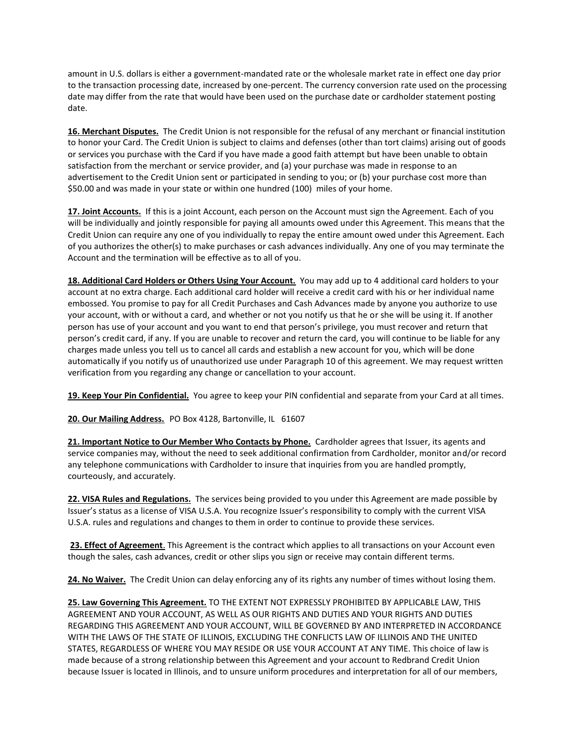amount in U.S. dollars is either a government-mandated rate or the wholesale market rate in effect one day prior to the transaction processing date, increased by one-percent. The currency conversion rate used on the processing date may differ from the rate that would have been used on the purchase date or cardholder statement posting date.

**16. Merchant Disputes.** The Credit Union is not responsible for the refusal of any merchant or financial institution to honor your Card. The Credit Union is subject to claims and defenses (other than tort claims) arising out of goods or services you purchase with the Card if you have made a good faith attempt but have been unable to obtain satisfaction from the merchant or service provider, and (a) your purchase was made in response to an advertisement to the Credit Union sent or participated in sending to you; or (b) your purchase cost more than \$50.00 and was made in your state or within one hundred (100) miles of your home.

**17. Joint Accounts.** If this is a joint Account, each person on the Account must sign the Agreement. Each of you will be individually and jointly responsible for paying all amounts owed under this Agreement. This means that the Credit Union can require any one of you individually to repay the entire amount owed under this Agreement. Each of you authorizes the other(s) to make purchases or cash advances individually. Any one of you may terminate the Account and the termination will be effective as to all of you.

**18. Additional Card Holders or Others Using Your Account.** You may add up to 4 additional card holders to your account at no extra charge. Each additional card holder will receive a credit card with his or her individual name embossed. You promise to pay for all Credit Purchases and Cash Advances made by anyone you authorize to use your account, with or without a card, and whether or not you notify us that he or she will be using it. If another person has use of your account and you want to end that person's privilege, you must recover and return that person's credit card, if any. If you are unable to recover and return the card, you will continue to be liable for any charges made unless you tell us to cancel all cards and establish a new account for you, which will be done automatically if you notify us of unauthorized use under Paragraph 10 of this agreement. We may request written verification from you regarding any change or cancellation to your account.

**19. Keep Your Pin Confidential.** You agree to keep your PIN confidential and separate from your Card at all times.

20. Our Mailing Address. PO Box 4128, Bartonville, IL 61607

**21. Important Notice to Our Member Who Contacts by Phone.** Cardholder agrees that Issuer, its agents and service companies may, without the need to seek additional confirmation from Cardholder, monitor and/or record any telephone communications with Cardholder to insure that inquiries from you are handled promptly, courteously, and accurately.

**22. VISA Rules and Regulations.** The services being provided to you under this Agreement are made possible by Issuer's status as a license of VISA U.S.A. You recognize Issuer's responsibility to comply with the current VISA U.S.A. rules and regulations and changes to them in order to continue to provide these services.

**23. Effect of Agreement**. This Agreement is the contract which applies to all transactions on your Account even though the sales, cash advances, credit or other slips you sign or receive may contain different terms.

**24. No Waiver.** The Credit Union can delay enforcing any of its rights any number of times without losing them.

**25. Law Governing This Agreement.** TO THE EXTENT NOT EXPRESSLY PROHIBITED BY APPLICABLE LAW, THIS AGREEMENT AND YOUR ACCOUNT, AS WELL AS OUR RIGHTS AND DUTIES AND YOUR RIGHTS AND DUTIES REGARDING THIS AGREEMENT AND YOUR ACCOUNT, WILL BE GOVERNED BY AND INTERPRETED IN ACCORDANCE WITH THE LAWS OF THE STATE OF ILLINOIS, EXCLUDING THE CONFLICTS LAW OF ILLINOIS AND THE UNITED STATES, REGARDLESS OF WHERE YOU MAY RESIDE OR USE YOUR ACCOUNT AT ANY TIME. This choice of law is made because of a strong relationship between this Agreement and your account to Redbrand Credit Union because Issuer is located in Illinois, and to unsure uniform procedures and interpretation for all of our members,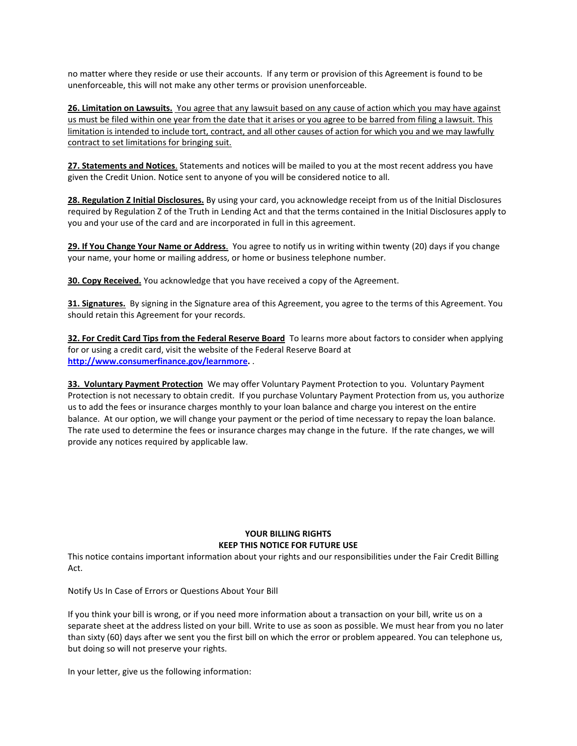no matter where they reside or use their accounts. If any term or provision of this Agreement is found to be unenforceable, this will not make any other terms or provision unenforceable.

**26. Limitation on Lawsuits.** You agree that any lawsuit based on any cause of action which you may have against us must be filed within one year from the date that it arises or you agree to be barred from filing a lawsuit. This limitation is intended to include tort, contract, and all other causes of action for which you and we may lawfully contract to set limitations for bringing suit.

**27. Statements and Notices**. Statements and notices will be mailed to you at the most recent address you have given the Credit Union. Notice sent to anyone of you will be considered notice to all.

**28. Regulation Z Initial Disclosures.** By using your card, you acknowledge receipt from us of the Initial Disclosures required by Regulation Z of the Truth in Lending Act and that the terms contained in the Initial Disclosures apply to you and your use of the card and are incorporated in full in this agreement.

**29. If You Change Your Name or Address**. You agree to notify us in writing within twenty (20) days if you change your name, your home or mailing address, or home or business telephone number.

**30. Copy Received.** You acknowledge that you have received a copy of the Agreement.

**31. Signatures.** By signing in the Signature area of this Agreement, you agree to the terms of this Agreement. You should retain this Agreement for your records.

**32. For Credit Card Tips from the Federal Reserve Board** To learns more about factors to consider when applying for or using a credit card, visit the website of the Federal Reserve Board at **[http://www.consumerfinance.gov/learnmore.](http://www.consumerfinance.gov/learnmore)** .

**33. Voluntary Payment Protection** We may offer Voluntary Payment Protection to you. Voluntary Payment Protection is not necessary to obtain credit. If you purchase Voluntary Payment Protection from us, you authorize us to add the fees or insurance charges monthly to your loan balance and charge you interest on the entire balance. At our option, we will change your payment or the period of time necessary to repay the loan balance. The rate used to determine the fees or insurance charges may change in the future. If the rate changes, we will provide any notices required by applicable law.

## **YOUR BILLING RIGHTS KEEP THIS NOTICE FOR FUTURE USE**

This notice contains important information about your rights and our responsibilities under the Fair Credit Billing Act.

Notify Us In Case of Errors or Questions About Your Bill

If you think your bill is wrong, or if you need more information about a transaction on your bill, write us on a separate sheet at the address listed on your bill. Write to use as soon as possible. We must hear from you no later than sixty (60) days after we sent you the first bill on which the error or problem appeared. You can telephone us, but doing so will not preserve your rights.

In your letter, give us the following information: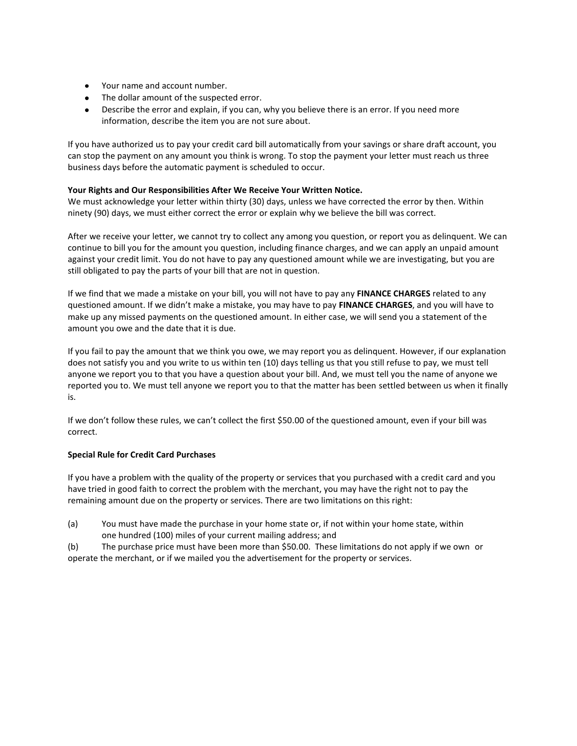- Your name and account number.
- The dollar amount of the suspected error.
- Describe the error and explain, if you can, why you believe there is an error. If you need more information, describe the item you are not sure about.

If you have authorized us to pay your credit card bill automatically from your savings or share draft account, you can stop the payment on any amount you think is wrong. To stop the payment your letter must reach us three business days before the automatic payment is scheduled to occur.

## **Your Rights and Our Responsibilities After We Receive Your Written Notice.**

We must acknowledge your letter within thirty (30) days, unless we have corrected the error by then. Within ninety (90) days, we must either correct the error or explain why we believe the bill was correct.

After we receive your letter, we cannot try to collect any among you question, or report you as delinquent. We can continue to bill you for the amount you question, including finance charges, and we can apply an unpaid amount against your credit limit. You do not have to pay any questioned amount while we are investigating, but you are still obligated to pay the parts of your bill that are not in question.

If we find that we made a mistake on your bill, you will not have to pay any **FINANCE CHARGES** related to any questioned amount. If we didn't make a mistake, you may have to pay **FINANCE CHARGES**, and you will have to make up any missed payments on the questioned amount. In either case, we will send you a statement of the amount you owe and the date that it is due.

If you fail to pay the amount that we think you owe, we may report you as delinquent. However, if our explanation does not satisfy you and you write to us within ten (10) days telling us that you still refuse to pay, we must tell anyone we report you to that you have a question about your bill. And, we must tell you the name of anyone we reported you to. We must tell anyone we report you to that the matter has been settled between us when it finally is.

If we don't follow these rules, we can't collect the first \$50.00 of the questioned amount, even if your bill was correct.

#### **Special Rule for Credit Card Purchases**

If you have a problem with the quality of the property or services that you purchased with a credit card and you have tried in good faith to correct the problem with the merchant, you may have the right not to pay the remaining amount due on the property or services. There are two limitations on this right:

(a) You must have made the purchase in your home state or, if not within your home state, within one hundred (100) miles of your current mailing address; and

(b) The purchase price must have been more than \$50.00. These limitations do not apply if we own or operate the merchant, or if we mailed you the advertisement for the property or services.